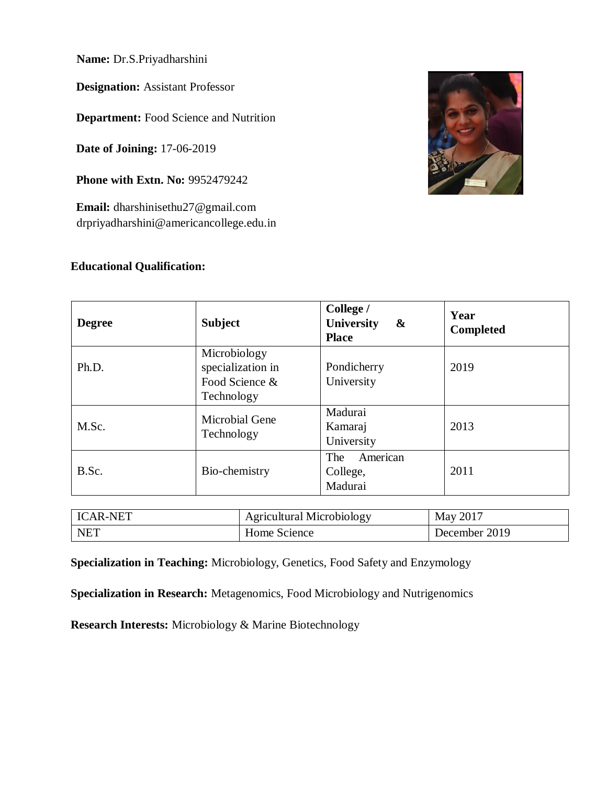**Name:** Dr.S.Priyadharshini

**Designation:** Assistant Professor

**Department:** Food Science and Nutrition

**Date of Joining:** 17-06-2019

**Phone with Extn. No: 9952479242** 

**Email:** [dharshinisethu27@gmail.com](mailto:dharshinisethu27@gmail.com) [drpriyadharshini@americancollege.edu.in](mailto:drpriyadharshini@americancollege.edu.in)

### **Educational Qualification:**



| <b>Degree</b> | <b>Subject</b>                                                    | College /<br>University<br>$\boldsymbol{\alpha}$<br><b>Place</b> | Year<br><b>Completed</b> |
|---------------|-------------------------------------------------------------------|------------------------------------------------------------------|--------------------------|
| Ph.D.         | Microbiology<br>specialization in<br>Food Science &<br>Technology | Pondicherry<br>University                                        | 2019                     |
| M.Sc.         | <b>Microbial Gene</b><br>Technology                               | Madurai<br>Kamaraj<br>University                                 | 2013                     |
| B.Sc.         | Bio-chemistry                                                     | American<br>The<br>College,<br>Madurai                           | 2011                     |

| <b>ICAR-NET</b> | <b>Agricultural Microbiology</b> | May 2017      |
|-----------------|----------------------------------|---------------|
| NET             | Home Science                     | December 2019 |

**Specialization in Teaching:** Microbiology, Genetics, Food Safety and Enzymology

**Specialization in Research:** Metagenomics, Food Microbiology and Nutrigenomics

**Research Interests:** Microbiology & Marine Biotechnology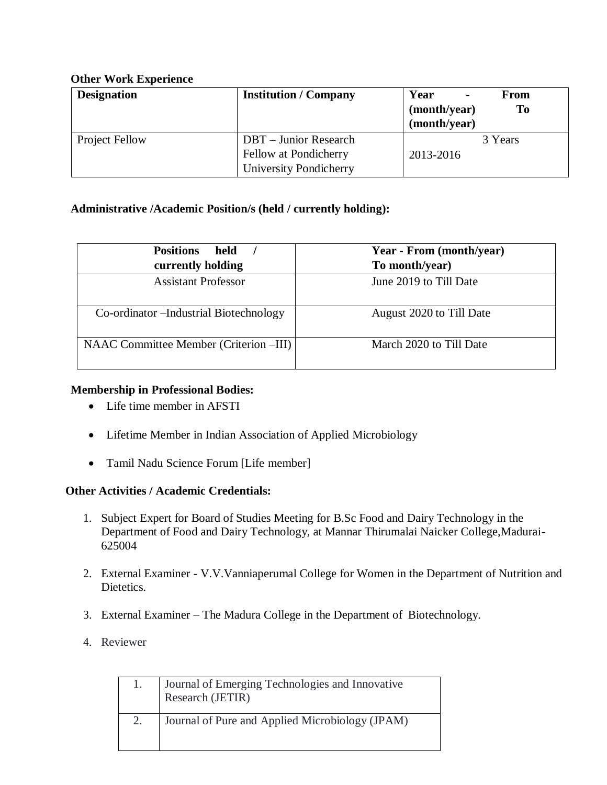### **Other Work Experience**

| <b>Designation</b> | <b>Institution / Company</b>                                                    | Year<br>From<br>$\blacksquare$<br><b>To</b><br>(month/year)<br>(month/year) |
|--------------------|---------------------------------------------------------------------------------|-----------------------------------------------------------------------------|
| Project Fellow     | <b>DBT</b> – Junior Research<br>Fellow at Pondicherry<br>University Pondicherry | 3 Years<br>2013-2016                                                        |

### **Administrative /Academic Position/s (held / currently holding):**

| <b>Positions</b><br>held<br>currently holding | Year - From (month/year)<br>To month/year) |
|-----------------------------------------------|--------------------------------------------|
| <b>Assistant Professor</b>                    | June 2019 to Till Date                     |
| Co-ordinator – Industrial Biotechnology       | August 2020 to Till Date                   |
| NAAC Committee Member (Criterion –III)        | March 2020 to Till Date                    |

### **Membership in Professional Bodies:**

- Life time member in AFSTI
- Lifetime Member in Indian Association of Applied Microbiology
- Tamil Nadu Science Forum [Life member]

### **Other Activities / Academic Credentials:**

- 1. Subject Expert for Board of Studies Meeting for B.Sc Food and Dairy Technology in the Department of Food and Dairy Technology, at Mannar Thirumalai Naicker College,Madurai-625004
- 2. External Examiner V.V.Vanniaperumal College for Women in the Department of Nutrition and Dietetics.
- 3. External Examiner The Madura College in the Department of Biotechnology.
- 4. Reviewer

| Journal of Emerging Technologies and Innovative<br>Research (JETIR) |
|---------------------------------------------------------------------|
| Journal of Pure and Applied Microbiology (JPAM)                     |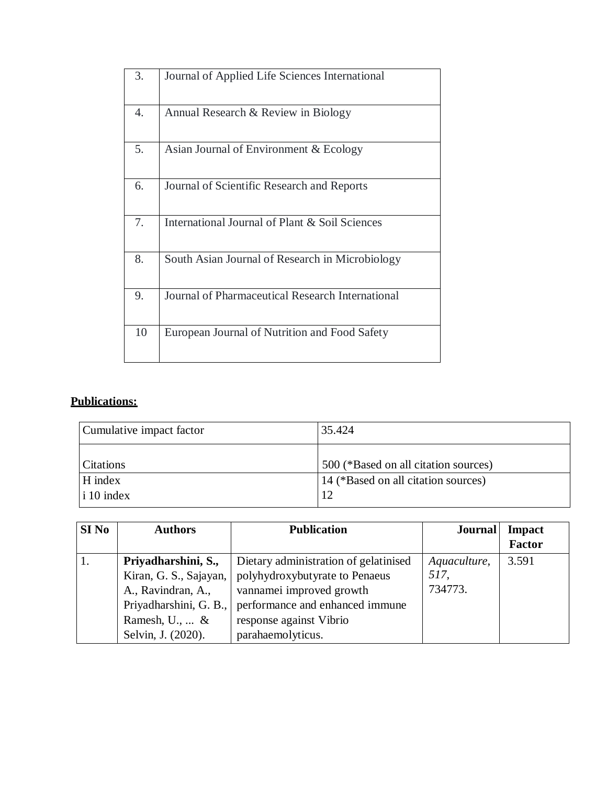| 3. | Journal of Applied Life Sciences International   |
|----|--------------------------------------------------|
| 4. | Annual Research & Review in Biology              |
| 5. | Asian Journal of Environment & Ecology           |
| 6. | Journal of Scientific Research and Reports       |
| 7. | International Journal of Plant & Soil Sciences   |
| 8. | South Asian Journal of Research in Microbiology  |
| 9. | Journal of Pharmaceutical Research International |
| 10 | European Journal of Nutrition and Food Safety    |

# **Publications:**

| Cumulative impact factor | 35.424                               |
|--------------------------|--------------------------------------|
| <b>Citations</b>         | 500 (*Based on all citation sources) |
| H index                  | 14 (*Based on all citation sources)  |
| $\vert$ i 10 index       | 12                                   |

| SI No | <b>Authors</b>                                                                                                                                  | <b>Publication</b>                                                                                                                                                                     | <b>Journal</b>                  | <b>Impact</b><br><b>Factor</b> |
|-------|-------------------------------------------------------------------------------------------------------------------------------------------------|----------------------------------------------------------------------------------------------------------------------------------------------------------------------------------------|---------------------------------|--------------------------------|
|       | Priyadharshini, S.,<br>Kiran, G. S., Sajayan,<br>A., Ravindran, A.,<br>Priyadharshini, G. B.,<br>Ramesh, $U_1, \ldots \&$<br>Selvin, J. (2020). | Dietary administration of gelatinised<br>polyhydroxybutyrate to Penaeus<br>vannamei improved growth<br>performance and enhanced immune<br>response against Vibrio<br>parahaemolyticus. | Aquaculture,<br>517,<br>734773. | 3.591                          |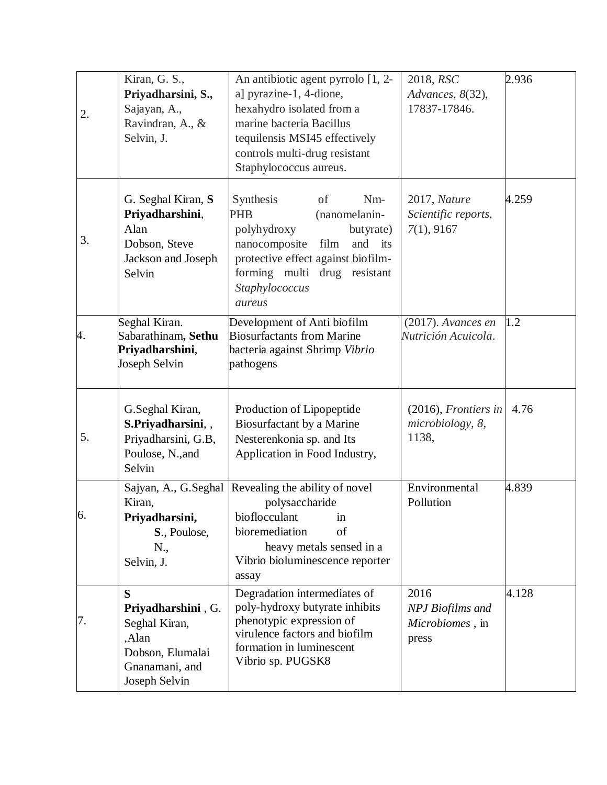| 2. | Kiran, G. S.,<br>Priyadharsini, S.,<br>Sajayan, A.,<br>Ravindran, A., &<br>Selvin, J.                    | An antibiotic agent pyrrolo [1, 2-<br>a] pyrazine-1, 4-dione,<br>hexahydro isolated from a<br>marine bacteria Bacillus<br>tequilensis MSI45 effectively<br>controls multi-drug resistant<br>Staphylococcus aureus.      | 2018, RSC<br>Advances, 8(32),<br>17837-17846.               | 2.936 |
|----|----------------------------------------------------------------------------------------------------------|-------------------------------------------------------------------------------------------------------------------------------------------------------------------------------------------------------------------------|-------------------------------------------------------------|-------|
| 3. | G. Seghal Kiran, S.<br>Priyadharshini,<br>Alan<br>Dobson, Steve<br>Jackson and Joseph<br>Selvin          | Nm-<br>Synthesis<br>of<br><b>PHB</b><br>(nanomelanin-<br>polyhydroxy<br>butyrate)<br>nanocomposite<br>film<br>and its<br>protective effect against biofilm-<br>forming multi drug resistant<br>Staphylococcus<br>aureus | 2017, Nature<br>Scientific reports,<br>7(1), 9167           | 4.259 |
| 4. | Seghal Kiran.<br>Sabarathinam, Sethu<br>Priyadharshini,<br>Joseph Selvin                                 | Development of Anti biofilm<br><b>Biosurfactants from Marine</b><br>bacteria against Shrimp Vibrio<br>pathogens                                                                                                         | $(2017)$ . Avances en<br>Nutrición Acuicola.                | 1.2   |
| 5. | G.Seghal Kiran,<br>S.Priyadharsini,,<br>Priyadharsini, G.B,<br>Poulose, N., and<br>Selvin                | Production of Lipopeptide<br>Biosurfactant by a Marine<br>Nesterenkonia sp. and Its<br>Application in Food Industry,                                                                                                    | $(2016)$ , Frontiers in<br>microbiology, 8,<br>1138,        | 4.76  |
| 6. | Kiran,<br>Priyadharsini,<br>S., Poulose,<br>N.,<br>Selvin, J.                                            | Sajyan, A., G.Seghal Revealing the ability of novel<br>polysaccharide<br>bioflocculant<br>1n<br>bioremediation<br>of<br>heavy metals sensed in a<br>Vibrio bioluminescence reporter<br>assay                            | Environmental<br>Pollution                                  | 4.839 |
| 7. | S<br>Priyadharshini, G.<br>Seghal Kiran,<br>,Alan<br>Dobson, Elumalai<br>Gnanamani, and<br>Joseph Selvin | Degradation intermediates of<br>poly-hydroxy butyrate inhibits<br>phenotypic expression of<br>virulence factors and biofilm<br>formation in luminescent<br>Vibrio sp. PUGSK8                                            | 2016<br><b>NPJ</b> Biofilms and<br>Microbiomes, in<br>press | 4.128 |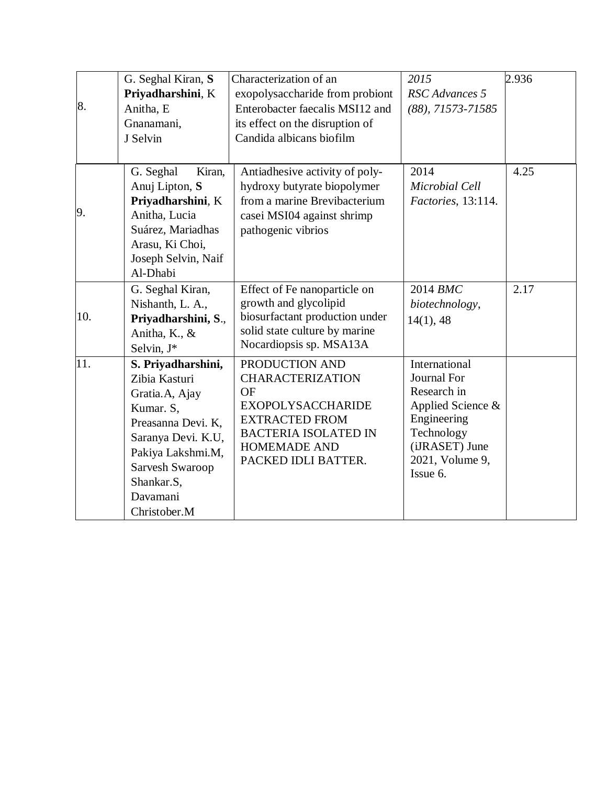|     | G. Seghal Kiran, S. | Characterization of an          | 2015                              | 2.936 |
|-----|---------------------|---------------------------------|-----------------------------------|-------|
|     | Priyadharshini, K   | exopolysaccharide from probiont | RSC Advances 5                    |       |
| 8.  | Anitha, E           | Enterobacter faecalis MSI12 and | $(88)$ , 71573-71585              |       |
|     | Gnanamani,          | its effect on the disruption of |                                   |       |
|     | J Selvin            | Candida albicans biofilm        |                                   |       |
|     |                     |                                 |                                   |       |
|     | G. Seghal<br>Kiran, | Antiadhesive activity of poly-  | 2014                              | 4.25  |
|     | Anuj Lipton, S      | hydroxy butyrate biopolymer     | Microbial Cell                    |       |
|     | Priyadharshini, K   | from a marine Brevibacterium    | Factories, 13:114.                |       |
| 9.  | Anitha, Lucia       | casei MSI04 against shrimp      |                                   |       |
|     | Suárez, Mariadhas   | pathogenic vibrios              |                                   |       |
|     | Arasu, Ki Choi,     |                                 |                                   |       |
|     | Joseph Selvin, Naif |                                 |                                   |       |
|     | Al-Dhabi            |                                 |                                   |       |
|     | G. Seghal Kiran,    | Effect of Fe nanoparticle on    | 2014 BMC                          | 2.17  |
|     | Nishanth, L. A.,    | growth and glycolipid           | biotechnology,                    |       |
| 10. | Priyadharshini, S., | biosurfactant production under  | 14(1), 48                         |       |
|     | Anitha, K., &       | solid state culture by marine   |                                   |       |
|     | Selvin, J*          | Nocardiopsis sp. MSA13A         |                                   |       |
| 11. | S. Priyadharshini,  | PRODUCTION AND                  | International                     |       |
|     | Zibia Kasturi       | <b>CHARACTERIZATION</b>         | Journal For                       |       |
|     | Gratia.A, Ajay      | <b>OF</b>                       | Research in                       |       |
|     | Kumar. S,           | <b>EXOPOLYSACCHARIDE</b>        | Applied Science &                 |       |
|     | Preasanna Devi. K,  | <b>EXTRACTED FROM</b>           | Engineering                       |       |
|     | Saranya Devi. K.U,  | <b>BACTERIA ISOLATED IN</b>     | Technology                        |       |
|     | Pakiya Lakshmi.M,   | <b>HOMEMADE AND</b>             | (iJRASET) June<br>2021, Volume 9, |       |
|     | Sarvesh Swaroop     | PACKED IDLI BATTER.             | Issue 6.                          |       |
|     | Shankar.S,          |                                 |                                   |       |
|     | Davamani            |                                 |                                   |       |
|     | Christober.M        |                                 |                                   |       |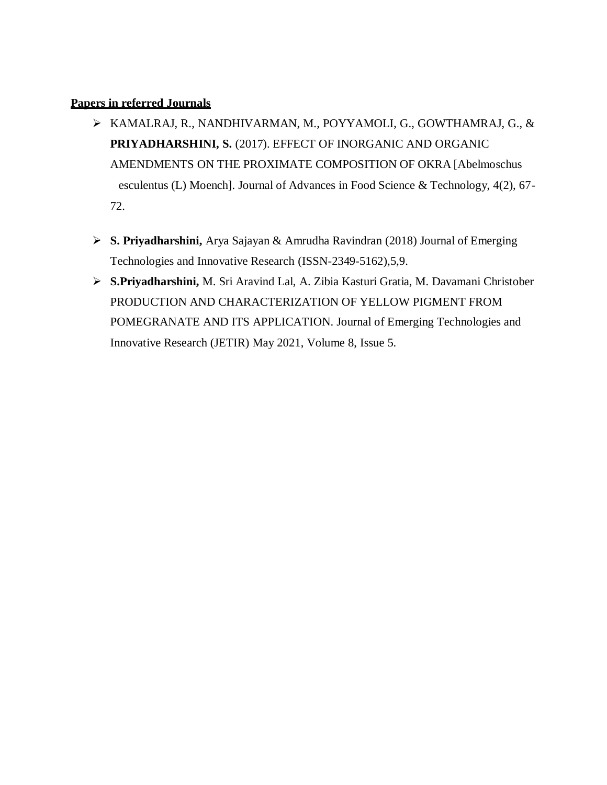#### **Papers in referred Journals**

- KAMALRAJ, R., NANDHIVARMAN, M., POYYAMOLI, G., GOWTHAMRAJ, G., & **PRIYADHARSHINI, S.** (2017). EFFECT OF INORGANIC AND ORGANIC AMENDMENTS ON THE PROXIMATE COMPOSITION OF OKRA [Abelmoschus esculentus (L) Moench]. Journal of Advances in Food Science & Technology, 4(2), 67- 72.
- **S. Priyadharshini,** Arya Sajayan & Amrudha Ravindran (2018) Journal of Emerging Technologies and Innovative Research (ISSN-2349-5162),5,9.
- **S.Priyadharshini,** M. Sri Aravind Lal, A. Zibia Kasturi Gratia, M. Davamani Christober PRODUCTION AND CHARACTERIZATION OF YELLOW PIGMENT FROM POMEGRANATE AND ITS APPLICATION. Journal of Emerging Technologies and Innovative Research (JETIR) May 2021, Volume 8, Issue 5.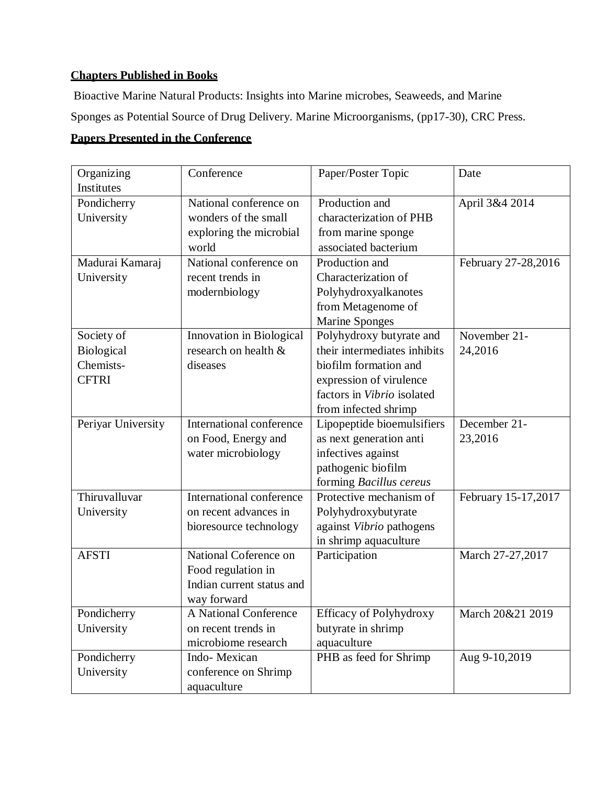# **Chapters Published in Books**

Bioactive Marine Natural Products: Insights into Marine microbes, Seaweeds, and Marine Sponges as Potential Source of Drug Delivery. Marine Microorganisms, (pp17-30), CRC Press.

## **Papers Presented in the Conference**

| Organizing<br>Institutes           | Conference                | Paper/Poster Topic             | Date                |
|------------------------------------|---------------------------|--------------------------------|---------------------|
| Pondicherry                        | National conference on    | Production and                 | April 3&4 2014      |
| University<br>wonders of the small |                           | characterization of PHB        |                     |
|                                    | exploring the microbial   | from marine sponge             |                     |
|                                    | world                     | associated bacterium           |                     |
| Madurai Kamaraj                    | National conference on    | Production and                 | February 27-28,2016 |
|                                    | recent trends in          | Characterization of            |                     |
| University                         |                           |                                |                     |
|                                    | modernbiology             | Polyhydroxyalkanotes           |                     |
|                                    |                           | from Metagenome of             |                     |
|                                    |                           | <b>Marine Sponges</b>          |                     |
| Society of                         | Innovation in Biological  | Polyhydroxy butyrate and       | November 21-        |
| <b>Biological</b>                  | research on health &      | their intermediates inhibits   | 24,2016             |
| Chemists-                          | diseases                  | biofilm formation and          |                     |
| <b>CFTRI</b>                       |                           | expression of virulence        |                     |
|                                    |                           | factors in Vibrio isolated     |                     |
|                                    |                           | from infected shrimp           |                     |
| Periyar University                 | International conference  | Lipopeptide bioemulsifiers     | December 21-        |
|                                    | on Food, Energy and       | as next generation anti        | 23,2016             |
|                                    | water microbiology        | infectives against             |                     |
|                                    |                           | pathogenic biofilm             |                     |
|                                    |                           | forming Bacillus cereus        |                     |
| Thiruvalluvar                      | International conference  | Protective mechanism of        | February 15-17,2017 |
| University                         | on recent advances in     | Polyhydroxybutyrate            |                     |
|                                    | bioresource technology    | against Vibrio pathogens       |                     |
|                                    |                           | in shrimp aquaculture          |                     |
| <b>AFSTI</b>                       | National Coference on     | Participation                  | March 27-27,2017    |
|                                    | Food regulation in        |                                |                     |
|                                    | Indian current status and |                                |                     |
|                                    | way forward               |                                |                     |
| Pondicherry                        | A National Conference     | <b>Efficacy of Polyhydroxy</b> | March 20&21 2019    |
| University                         | on recent trends in       | butyrate in shrimp             |                     |
|                                    | microbiome research       | aquaculture                    |                     |
| Pondicherry                        | Indo-Mexican              | PHB as feed for Shrimp         | Aug 9-10,2019       |
| University                         | conference on Shrimp      |                                |                     |
|                                    | aquaculture               |                                |                     |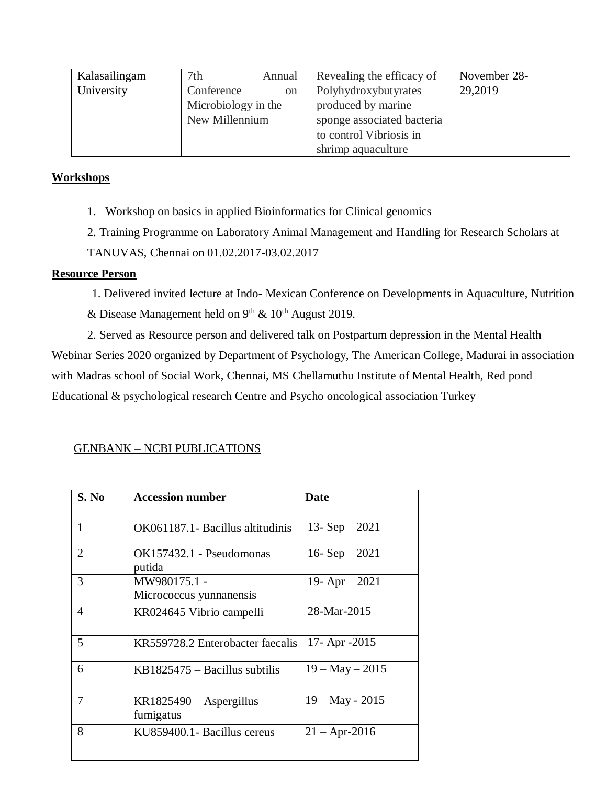| Kalasailingam | 7 <sub>th</sub>     | Annual        | Revealing the efficacy of  | November 28- |
|---------------|---------------------|---------------|----------------------------|--------------|
| University    | Conference          | <sub>on</sub> | Polyhydroxybutyrates       | 29,2019      |
|               | Microbiology in the |               | produced by marine         |              |
|               | New Millennium      |               | sponge associated bacteria |              |
|               |                     |               | to control Vibriosis in    |              |
|               |                     |               | shrimp aquaculture         |              |

### **Workshops**

1. Workshop on basics in applied Bioinformatics for Clinical genomics

2. Training Programme on Laboratory Animal Management and Handling for Research Scholars at TANUVAS, Chennai on 01.02.2017-03.02.2017

### **Resource Person**

1. Delivered invited lecture at Indo- Mexican Conference on Developments in Aquaculture, Nutrition

& Disease Management held on  $9<sup>th</sup>$  &  $10<sup>th</sup>$  August 2019.

2. Served as Resource person and delivered talk on Postpartum depression in the Mental Health Webinar Series 2020 organized by Department of Psychology, The American College, Madurai in association with Madras school of Social Work, Chennai, MS Chellamuthu Institute of Mental Health, Red pond Educational & psychological research Centre and Psycho oncological association Turkey

### GENBANK – NCBI PUBLICATIONS

| S. No          | <b>Accession number</b>                 | <b>Date</b>       |
|----------------|-----------------------------------------|-------------------|
| 1              | OK061187.1 - Bacillus altitudinis       | 13- $Sep-2021$    |
| $\overline{2}$ | OK157432.1 - Pseudomonas<br>putida      | 16- $Sep-2021$    |
| 3              | MW980175.1 -<br>Micrococcus yunnanensis | 19- Apr $-2021$   |
| 4              | KR024645 Vibrio campelli                | 28-Mar-2015       |
| 5              | KR559728.2 Enterobacter faecalis        | 17- Apr $-2015$   |
| 6              | $KB1825475 - Bacillus$ subtilis         | $19 - May - 2015$ |
| 7              | $KR1825490 - Aspergillus$<br>fumigatus  | $19 - May - 2015$ |
| 8              | KU859400.1- Bacillus cereus             | $21 -$ Apr-2016   |